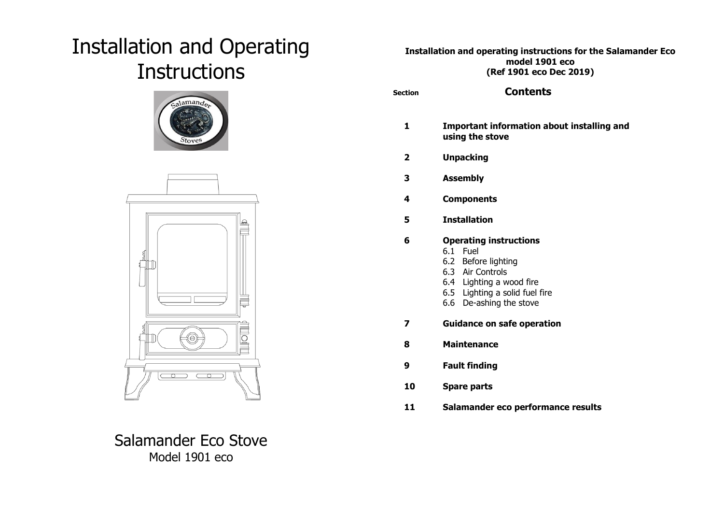# Installation and Operating **Instructions**





Salamander Eco Stove Model 1901 eco

# **Installation and operating instructions for the Salamander Eco model 1901 eco (Ref 1901 eco Dec 2019)**

| <b>Section</b> | <b>Contents</b>                                                                                                                                                                  |
|----------------|----------------------------------------------------------------------------------------------------------------------------------------------------------------------------------|
| 1              | Important information about installing and<br>using the stove                                                                                                                    |
| $\mathbf{2}$   | <b>Unpacking</b>                                                                                                                                                                 |
| 3              | <b>Assembly</b>                                                                                                                                                                  |
| 4              | <b>Components</b>                                                                                                                                                                |
| 5              | <b>Installation</b>                                                                                                                                                              |
| 6              | <b>Operating instructions</b><br>6.1 Fuel<br>6.2 Before lighting<br>6.3 Air Controls<br>6.4 Lighting a wood fire<br>6.5 Lighting a solid fuel fire<br>De-ashing the stove<br>6.6 |
| 7              | <b>Guidance on safe operation</b>                                                                                                                                                |
| 8              | <b>Maintenance</b>                                                                                                                                                               |
| 9              | <b>Fault finding</b>                                                                                                                                                             |
| 10             | <b>Spare parts</b>                                                                                                                                                               |
| 11             | Salamander eco performance results                                                                                                                                               |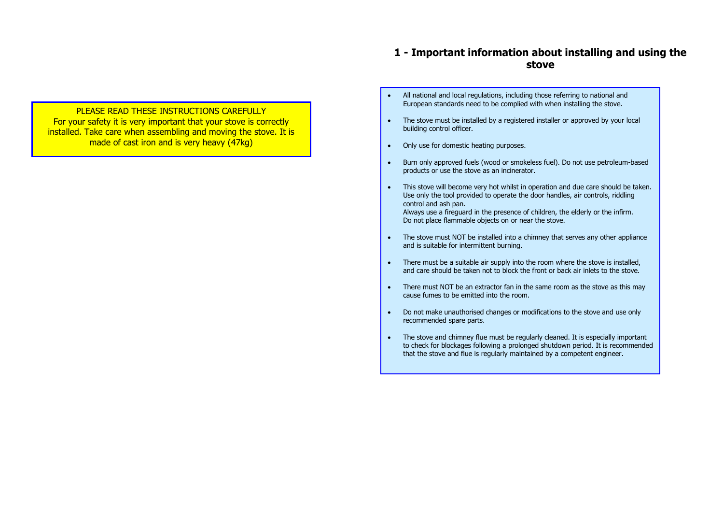# **1 - Important information about installing and using the stove**

- **PLEASE READ THESE INSTRUCTIONS CAREFULLY** For your safety it is very important that your stove is correctly installed. Take care when assembling and moving the stove. It is made of cast iron and is very heavy (47kg)
- All national and local regulations, including those referring to national and European standards need to be complied with when installing the stove.
- The stove must be installed by a registered installer or approved by your local building control officer.
- Only use for domestic heating purposes.
- Burn only approved fuels (wood or smokeless fuel). Do not use petroleum-based products or use the stove as an incinerator.
- This stove will become very hot whilst in operation and due care should be taken. Use only the tool provided to operate the door handles, air controls, riddling control and ash pan. Always use a fireguard in the presence of children, the elderly or the infirm. Do not place flammable objects on or near the stove.
- The stove must NOT be installed into a chimney that serves any other appliance and is suitable for intermittent burning.
- There must be a suitable air supply into the room where the stove is installed, and care should be taken not to block the front or back air inlets to the stove.
- There must NOT be an extractor fan in the same room as the stove as this may cause fumes to be emitted into the room.
- Do not make unauthorised changes or modifications to the stove and use only recommended spare parts.
- The stove and chimney flue must be regularly cleaned. It is especially important to check for blockages following a prolonged shutdown period. It is recommended that the stove and flue is regularly maintained by a competent engineer.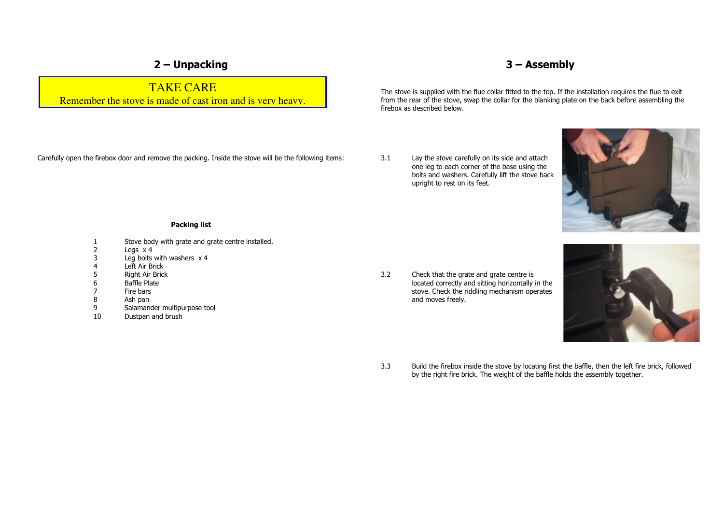# **2 – Unpacking**

TAKE CARE Remember the stove is made of cast iron and is very heavy. **3 – Assembly** 

The stove is supplied with the flue collar fitted to the top. If the installation requires the flue to exit from the rear of the stove, swap the collar for the blanking plate on the back before assembling the firebox as described below.

Carefully open the firebox door and remove the packing. Inside the stove will be the following items:

3.1 Lay the stove carefully on its side and attach one leg to each corner of the base using the bolts and washers. Carefully lift the stove back upright to rest on its feet.



## **Packing list**

- 1 Stove body with grate and grate centre installed.<br>2 Legs x 4
- 2 Legs x 4<br>3 Leg bolts
- 3 Leg bolts with washers x 4<br>4 Left Air Brick
- 4 Left Air Brick<br>5 Right Air Brick
- 
- 5 Right Air Brick<br>6 Baffle Plate 6 Baffle Plate<br>7 Fire bars
- 
- 7 Fire bars<br>8 Ash pan
- 8 Ash pan<br>9 Salaman Salamander multipurpose tool
- 10 Dustpan and brush

3.2 Check that the grate and grate centre is located correctly and sitting horizontally in the stove. Check the riddling mechanism operates and moves freely.



3.3 Build the firebox inside the stove by locating first the baffle, then the left fire brick, followed by the right fire brick. The weight of the baffle holds the assembly together.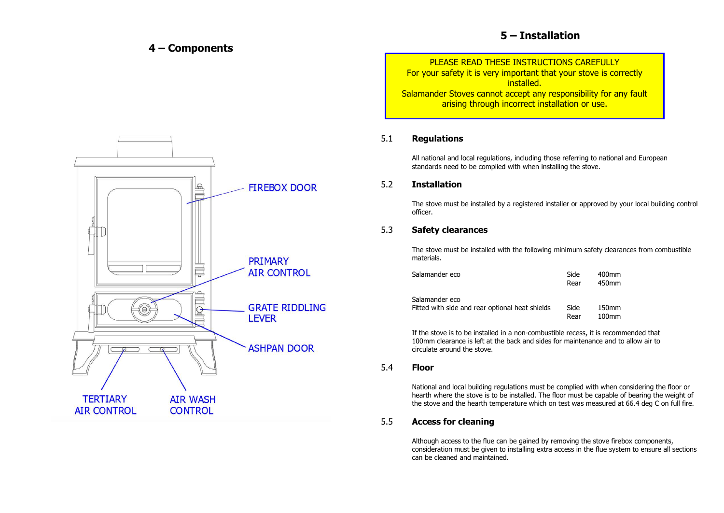# **4 – Components**

# **5 – Installation**

PLEASE READ THESE INSTRUCTIONS CAREFULLY

For your safety it is very important that your stove is correctly installed. Salamander Stoves cannot accept any responsibility for any fault arising through incorrect installation or use.

# 5.1 **Regulations**

 All national and local regulations, including those referring to national and European standards need to be complied with when installing the stove.

# 5.2 **Installation**

The stove must be installed by a registered installer or approved by your local building control officer.

# 5.3 **Safety clearances**

The stove must be installed with the following minimum safety clearances from combustible materials.

| Salamander eco |                                                 | Side<br>Rear | 400mm<br>450mm             |
|----------------|-------------------------------------------------|--------------|----------------------------|
| Salamander eco | Fitted with side and rear optional heat shields | Side<br>Rear | 150 <sub>mm</sub><br>100mm |

 If the stove is to be installed in a non-combustible recess, it is recommended that 100mm clearance is left at the back and sides for maintenance and to allow air to circulate around the stove.

## 5.4 **Floor**

National and local building regulations must be complied with when considering the floor or hearth where the stove is to be installed. The floor must be capable of bearing the weight of the stove and the hearth temperature which on test was measured at 66.4 deg C on full fire.

# 5.5 **Access for cleaning**

Although access to the flue can be gained by removing the stove firebox components, consideration must be given to installing extra access in the flue system to ensure all sections can be cleaned and maintained.

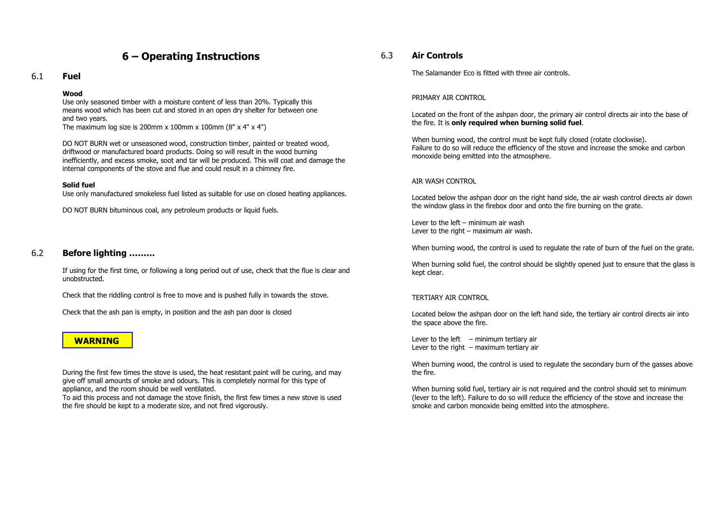# **6 – Operating Instructions**

## 6.1 **Fuel**

#### **Wood**

Use only seasoned timber with a moisture content of less than 20%. Typically this means wood which has been cut and stored in an open dry shelter for between one and two years.

The maximum log size is 200mm x 100mm x 100mm (8" x 4" x 4")

DO NOT BURN wet or unseasoned wood, construction timber, painted or treated wood, driftwood or manufactured board products. Doing so will result in the wood burning inefficiently, and excess smoke, soot and tar will be produced. This will coat and damage the internal components of the stove and flue and could result in a chimney fire.

## **Solid fuel**

Use only manufactured smokeless fuel listed as suitable for use on closed heating appliances.

DO NOT BURN bituminous coal, any petroleum products or liquid fuels.

# 6.2 **Before lighting ………**

If using for the first time, or following a long period out of use, check that the flue is clear and unobstructed.

Check that the riddling control is free to move and is pushed fully in towards the stove.

Check that the ash pan is empty, in position and the ash pan door is closed

# **WARNING**

During the first few times the stove is used, the heat resistant paint will be curing, and may give off small amounts of smoke and odours. This is completely normal for this type of appliance, and the room should be well ventilated.

To aid this process and not damage the stove finish, the first few times a new stove is used the fire should be kept to a moderate size, and not fired vigorously.

## 6.3 **Air Controls**

The Salamander Eco is fitted with three air controls.

#### PRIMARY AIR CONTROL

Located on the front of the ashpan door, the primary air control directs air into the base of the fire. It is **only required when burning solid fuel**.

When burning wood, the control must be kept fully closed (rotate clockwise). Failure to do so will reduce the efficiency of the stove and increase the smoke and carbon monoxide being emitted into the atmosphere.

#### AIR WASH CONTROL

Located below the ashpan door on the right hand side, the air wash control directs air down the window glass in the firebox door and onto the fire burning on the grate.

Lever to the left – minimum air wash Lever to the right – maximum air wash.

When burning wood, the control is used to regulate the rate of burn of the fuel on the grate.

When burning solid fuel, the control should be slightly opened just to ensure that the glass is kept clear.

#### TERTIARY AIR CONTROL

Located below the ashpan door on the left hand side, the tertiary air control directs air into the space above the fire.

Lever to the left  $-$  minimum tertiary air Lever to the right  $-$  maximum tertiary air

When burning wood, the control is used to regulate the secondary burn of the gasses above the fire.

When burning solid fuel, tertiary air is not required and the control should set to minimum (lever to the left). Failure to do so will reduce the efficiency of the stove and increase the smoke and carbon monoxide being emitted into the atmosphere.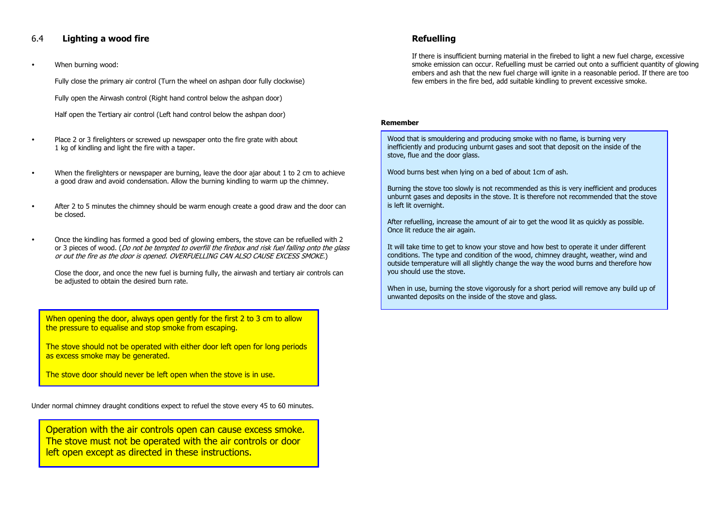# 6.4 **Lighting a wood fire**

When burning wood:

Fully close the primary air control (Turn the wheel on ashpan door fully clockwise)

Fully open the Airwash control (Right hand control below the ashpan door)

Half open the Tertiary air control (Left hand control below the ashpan door)

- Place 2 or 3 firelighters or screwed up newspaper onto the fire grate with about 1 kg of kindling and light the fire with a taper.
- When the firelighters or newspaper are burning, leave the door ajar about 1 to 2 cm to achieve a good draw and avoid condensation. Allow the burning kindling to warm up the chimney.
- After 2 to 5 minutes the chimney should be warm enough create a good draw and the door can be closed.
- Once the kindling has formed a good bed of glowing embers, the stove can be refuelled with 2 or 3 pieces of wood. (Do not be tempted to overfill the firebox and risk fuel falling onto the glass or out the fire as the door is opened. OVERFUELLING CAN ALSO CAUSE EXCESS SMOKE.)

Close the door, and once the new fuel is burning fully, the airwash and tertiary air controls can be adjusted to obtain the desired burn rate.

When opening the door, always open gently for the first 2 to 3 cm to allow the pressure to equalise and stop smoke from escaping.

The stove should not be operated with either door left open for long periods as excess smoke may be generated.

The stove door should never be left open when the stove is in use.

Under normal chimney draught conditions expect to refuel the stove every 45 to 60 minutes.

Operation with the air controls open can cause excess smoke. The stove must not be operated with the air controls or door left open except as directed in these instructions.

# **Refuelling**

If there is insufficient burning material in the firebed to light a new fuel charge, excessive smoke emission can occur. Refuelling must be carried out onto a sufficient quantity of glowing embers and ash that the new fuel charge will ignite in a reasonable period. If there are too few embers in the fire bed, add suitable kindling to prevent excessive smoke.

#### **Remember**

Wood that is smouldering and producing smoke with no flame, is burning very inefficiently and producing unburnt gases and soot that deposit on the inside of the stove, flue and the door glass.

Wood burns best when lying on a bed of about 1cm of ash.

Burning the stove too slowly is not recommended as this is very inefficient and produces unburnt gases and deposits in the stove. It is therefore not recommended that the stove is left lit overnight.

After refuelling, increase the amount of air to get the wood lit as quickly as possible. Once lit reduce the air again.

It will take time to get to know your stove and how best to operate it under different conditions. The type and condition of the wood, chimney draught, weather, wind and outside temperature will all slightly change the way the wood burns and therefore how you should use the stove.

When in use, burning the stove vigorously for a short period will remove any build up of unwanted deposits on the inside of the stove and glass.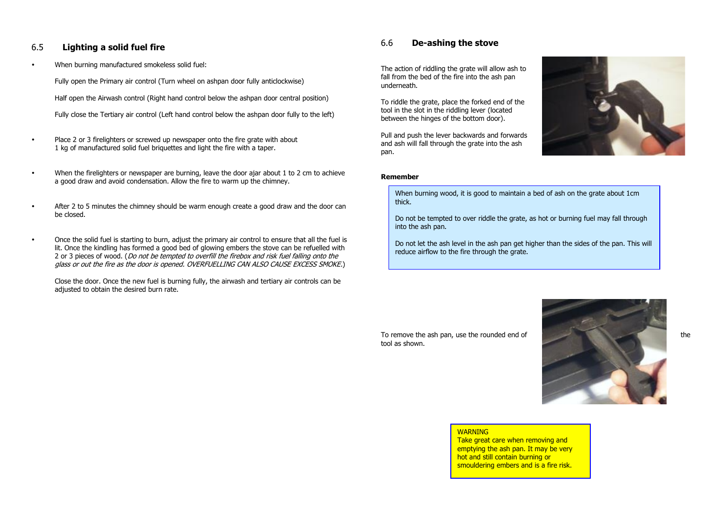# 6.5 **Lighting a solid fuel fire**

When burning manufactured smokeless solid fuel:

 Fully open the Primary air control (Turn wheel on ashpan door fully anticlockwise) Half open the Airwash control (Right hand control below the ashpan door central position) Fully close the Tertiary air control (Left hand control below the ashpan door fully to the left)

- Place 2 or 3 firelighters or screwed up newspaper onto the fire grate with about 1 kg of manufactured solid fuel briquettes and light the fire with a taper.
- When the firelighters or newspaper are burning, leave the door ajar about 1 to 2 cm to achieve a good draw and avoid condensation. Allow the fire to warm up the chimney.
- After 2 to 5 minutes the chimney should be warm enough create a good draw and the door can be closed.
- Once the solid fuel is starting to burn, adjust the primary air control to ensure that all the fuel is lit. Once the kindling has formed a good bed of glowing embers the stove can be refuelled with 2 or 3 pieces of wood. (Do not be tempted to overfill the firebox and risk fuel falling onto the glass or out the fire as the door is opened. OVERFUELLING CAN ALSO CAUSE EXCESS SMOKE.)

Close the door. Once the new fuel is burning fully, the airwash and tertiary air controls can be adjusted to obtain the desired burn rate.

# 6.6 **De-ashing the stove**

The action of riddling the grate will allow ash to fall from the bed of the fire into the ash pan underneath.

To riddle the grate, place the forked end of the tool in the slot in the riddling lever (located between the hinges of the bottom door).

Pull and push the lever backwards and forwards and ash will fall through the grate into the ash pan.

# **Remember**



When burning wood, it is good to maintain a bed of ash on the grate about 1cm thick.

Do not be tempted to over riddle the grate, as hot or burning fuel may fall through into the ash pan.

Do not let the ash level in the ash pan get higher than the sides of the pan. This will reduce airflow to the fire through the grate.

tool as shown.



# **WARNING**

Take great care when removing and emptying the ash pan. It may be very hot and still contain burning or smouldering embers and is a fire risk.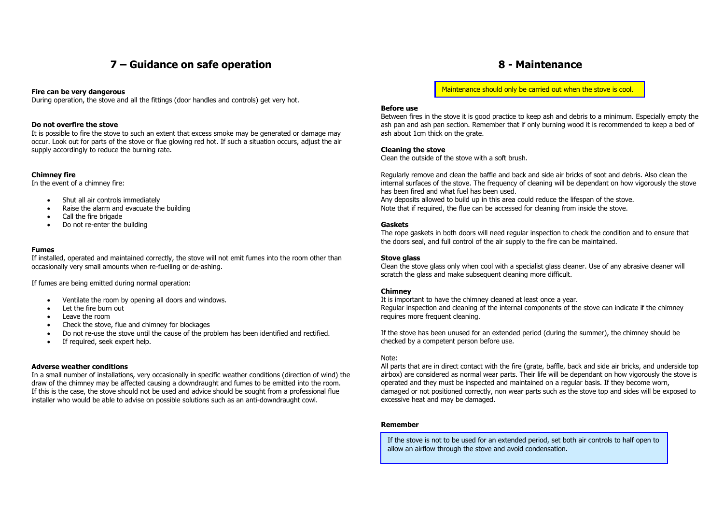# **7 – Guidance on safe operation**

#### **Fire can be very dangerous**

During operation, the stove and all the fittings (door handles and controls) get very hot.

#### **Do not overfire the stove**

It is possible to fire the stove to such an extent that excess smoke may be generated or damage may occur. Look out for parts of the stove or flue glowing red hot. If such a situation occurs, adjust the air supply accordingly to reduce the burning rate.

## **Chimney fire**

In the event of a chimney fire:

- Shut all air controls immediately
- Raise the alarm and evacuate the building
- Call the fire brigade
- Do not re-enter the building

### **Fumes**

If installed, operated and maintained correctly, the stove will not emit fumes into the room other than occasionally very small amounts when re-fuelling or de-ashing.

If fumes are being emitted during normal operation:

- Ventilate the room by opening all doors and windows.
- Let the fire burn out
- Leave the room
- Check the stove, flue and chimney for blockages
- Do not re-use the stove until the cause of the problem has been identified and rectified.
- If required, seek expert help.

### **Adverse weather conditions**

In a small number of installations, very occasionally in specific weather conditions (direction of wind) the draw of the chimney may be affected causing a downdraught and fumes to be emitted into the room. If this is the case, the stove should not be used and advice should be sought from a professional flue installer who would be able to advise on possible solutions such as an anti-downdraught cowl.

Maintenance should only be carried out when the stove is cool.

#### **Before use**

Between fires in the stove it is good practice to keep ash and debris to a minimum. Especially empty the ash pan and ash pan section. Remember that if only burning wood it is recommended to keep a bed of ash about 1cm thick on the grate.

#### **Cleaning the stove**

Clean the outside of the stove with a soft brush.

Regularly remove and clean the baffle and back and side air bricks of soot and debris. Also clean the internal surfaces of the stove. The frequency of cleaning will be dependant on how vigorously the stove has been fired and what fuel has been used.

Any deposits allowed to build up in this area could reduce the lifespan of the stove. Note that if required, the flue can be accessed for cleaning from inside the stove.

#### **Gaskets**

The rope gaskets in both doors will need regular inspection to check the condition and to ensure that the doors seal, and full control of the air supply to the fire can be maintained.

#### **Stove glass**

Clean the stove glass only when cool with a specialist glass cleaner. Use of any abrasive cleaner will scratch the glass and make subsequent cleaning more difficult.

## **Chimney**

It is important to have the chimney cleaned at least once a year. Regular inspection and cleaning of the internal components of the stove can indicate if the chimney requires more frequent cleaning.

If the stove has been unused for an extended period (during the summer), the chimney should be checked by a competent person before use.

### Note:

All parts that are in direct contact with the fire (grate, baffle, back and side air bricks, and underside top airbox) are considered as normal wear parts. Their life will be dependant on how vigorously the stove is operated and they must be inspected and maintained on a regular basis. If they become worn, damaged or not positioned correctly, non wear parts such as the stove top and sides will be exposed to excessive heat and may be damaged.

### **Remember**

If the stove is not to be used for an extended period, set both air controls to half open to allow an airflow through the stove and avoid condensation.

# **8 - Maintenance**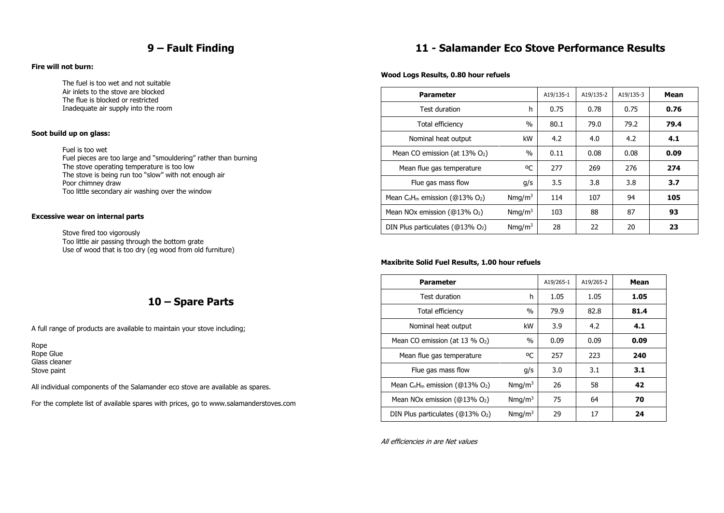# **9 – Fault Finding**

## **Fire will not burn:**

 The fuel is too wet and not suitable Air inlets to the stove are blocked The flue is blocked or restricted Inadequate air supply into the room

## **Soot build up on glass:**

 Fuel is too wet Fuel pieces are too large and "smouldering" rather than burning The stove operating temperature is too low The stove is being run too "slow" with not enough air Poor chimney draw Too little secondary air washing over the window

## **Excessive wear on internal parts**

 Stove fired too vigorously Too little air passing through the bottom grate Use of wood that is too dry (eg wood from old furniture)

# **10 – Spare Parts**

A full range of products are available to maintain your stove including;

Rope Rope Glue Glass cleaner Stove paint

All individual components of the Salamander eco stove are available as spares.

For the complete list of available spares with prices, go to www.salamanderstoves.com

# **11 - Salamander Eco Stove Performance Results**

## **Wood Logs Results, 0.80 hour refuels**

| <b>Parameter</b>                                 |                    | A19/135-1 | A19/135-2 | A19/135-3 | Mean |
|--------------------------------------------------|--------------------|-----------|-----------|-----------|------|
| Test duration                                    | h                  | 0.75      | 0.78      | 0.75      | 0.76 |
| Total efficiency                                 | $\%$               | 80.1      | 79.0      | 79.2      | 79.4 |
| Nominal heat output                              | kW                 | 4.2       | 4.0       | 4.2       | 4.1  |
| Mean CO emission (at $13\%$ O <sub>2</sub> )     | $\%$               | 0.11      | 0.08      | 0.08      | 0.09 |
| Mean flue gas temperature                        | ٥C                 | 277       | 269       | 276       | 274  |
| Flue gas mass flow                               | q/s                | 3.5       | 3.8       | 3.8       | 3.7  |
| Mean $C_nH_m$ emission (@13% O <sub>2</sub> )    | Nmq/m <sup>3</sup> | 114       | 107       | 94        | 105  |
| Mean NOx emission ( $@13\%$ O <sub>2</sub> )     | Nmq/m <sup>3</sup> | 103       | 88        | 87        | 93   |
| DIN Plus particulates ( $@13\%$ O <sub>2</sub> ) | Nmq/m <sup>3</sup> | 28        | 22        | 20        | 23   |

## **Maxibrite Solid Fuel Results, 1.00 hour refuels**

| <b>Parameter</b>                                 |                    | A19/265-1 | A19/265-2 | Mean |
|--------------------------------------------------|--------------------|-----------|-----------|------|
| Test duration                                    | h                  | 1.05      | 1.05      | 1.05 |
| Total efficiency                                 | $\%$               | 79.9      | 82.8      | 81.4 |
| Nominal heat output                              | kW                 | 3.9       | 4.2       | 4.1  |
| Mean CO emission (at 13 $%$ O <sub>2</sub> )     | %                  | 0.09      | 0.09      | 0.09 |
| Mean flue gas temperature                        | оC                 | 257       | 223       | 240  |
| Flue gas mass flow                               | g/s                | 3.0       | 3.1       | 3.1  |
| Mean $C_nH_m$ emission (@13% O <sub>2</sub> )    | Nmq/m <sup>3</sup> | 26        | 58        | 42   |
| Mean NOx emission ( $@13\%$ O <sub>2</sub> )     | Nmq/m <sup>3</sup> | 75        | 64        | 70   |
| DIN Plus particulates ( $@13\%$ O <sub>2</sub> ) | Nmq/m <sup>3</sup> | 29        | 17        | 24   |

All efficiencies in are Net values